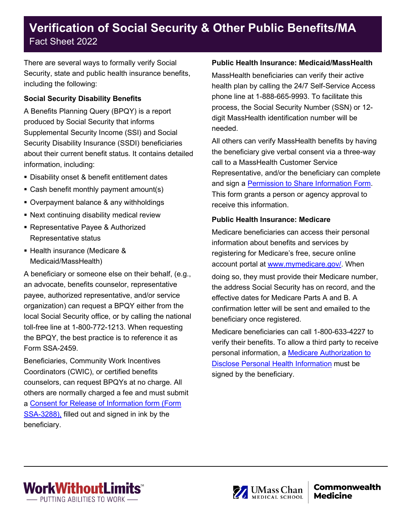# **Verification of Social Security & Other Public Benefits/MA** Fact Sheet 2022

There are several ways to formally verify Social Security, state and public health insurance benefits, including the following:

### **Social Security Disability Benefits**

A Benefits Planning Query (BPQY) is a report produced by Social Security that informs Supplemental Security Income (SSI) and Social Security Disability Insurance (SSDI) beneficiaries about their current benefit status. It contains detailed information, including:

- Disability onset & benefit entitlement dates
- Cash benefit monthly payment amount(s)
- Overpayment balance & any withholdings
- Next continuing disability medical review
- Representative Payee & Authorized Representative status
- Health insurance (Medicare & Medicaid/MassHealth)

A beneficiary or someone else on their behalf, (e.g., an advocate, benefits counselor, representative payee, authorized representative, and/or service organization) can request a BPQY either from the local Social Security office, or by calling the national toll-free line at 1-800-772-1213. When requesting the BPQY, the best practice is to reference it as Form SSA-2459.

Beneficiaries, Community Work Incentives Coordinators (CWIC), or certified benefits counselors, can request BPQYs at no charge. All others are normally charged a fee and must submit a [Consent for Release of Information form \(Form](http://www.ssa.gov/forms/ssa-3288.pdf)  [SSA-3288\),](http://www.ssa.gov/forms/ssa-3288.pdf) filled out and signed in ink by the beneficiary.

### **Public Health Insurance: Medicaid/MassHealth**

MassHealth beneficiaries can verify their active health plan by calling the 24/7 Self-Service Access phone line at 1-888-665-9993. To facilitate this process, the Social Security Number (SSN) or 12 digit MassHealth identification number will be needed.

All others can verify MassHealth benefits by having the beneficiary give verbal consent via a three-way call to a MassHealth Customer Service Representative, and/or the beneficiary can complete and sign a [Permission to Share Information](https://www.mass.gov/doc/masshealth-permission-to-share-information-psi-form-english-0/download) Form. This form grants a person or agency approval to receive this information.

### **Public Health Insurance: Medicare**

Medicare beneficiaries can access their personal information about benefits and services by registering for Medicare's free, secure online account portal at [www.mymedicare.gov/.](http://www.mymedicare.gov/) When doing so, they must provide their Medicare number, the address Social Security has on record, and the effective dates for Medicare Parts A and B. A confirmation letter will be sent and emailed to the beneficiary once registered.

Medicare beneficiaries can call 1-800-633-4227 to verify their benefits. To allow a third party to receive personal information, a [Medicare Authorization to](https://www.cms.gov/Medicare/CMS-Forms/CMS-Forms/Downloads/CMS10106.pdf)  [Disclose Personal Health Information](https://www.cms.gov/Medicare/CMS-Forms/CMS-Forms/Downloads/CMS10106.pdf) must be signed by the beneficiary.